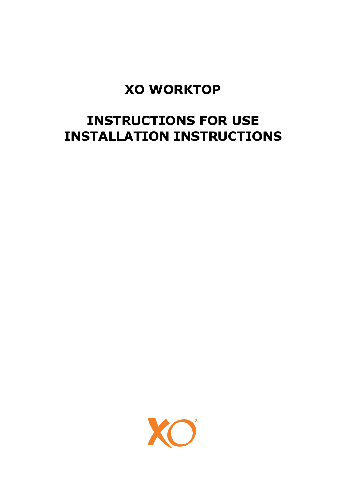# **XO WORKTOP**

# **INSTRUCTIONS FOR USE INSTALLATION INSTRUCTIONS**

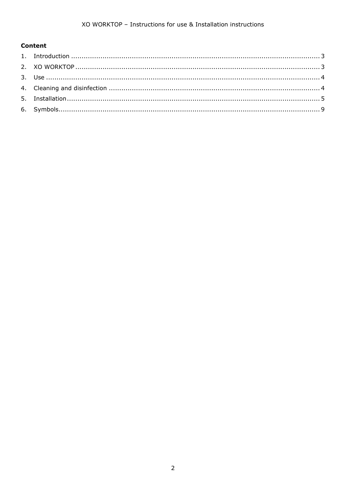#### **Content**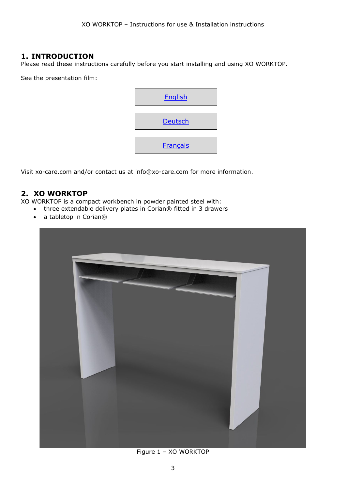#### <span id="page-2-0"></span>**1. INTRODUCTION**

Please read these instructions carefully before you start installing and using XO WORKTOP.

See the presentation film:



Visit xo-care.com and/or contact us at [info@xo-care.com](mailto:info@xo-care.com) for more information.

#### <span id="page-2-1"></span>**2. XO WORKTOP**

XO WORKTOP is a compact workbench in powder painted steel with:

- three extendable delivery plates in Corian® fitted in 3 drawers
- a tabletop in Corian®



Figure 1 – XO WORKTOP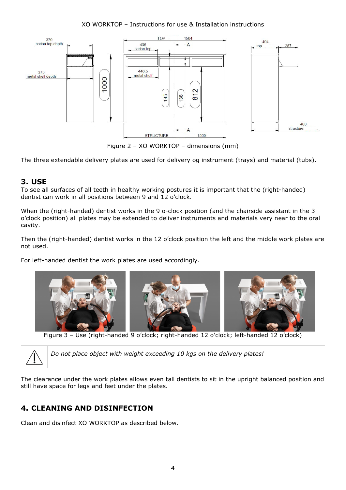#### XO WORKTOP – Instructions for use & Installation instructions



Figure 2 – XO WORKTOP – dimensions (mm)

The three extendable delivery plates are used for delivery og instrument (trays) and material (tubs).

#### <span id="page-3-0"></span>**3. USE**

To see all surfaces of all teeth in healthy working postures it is important that the (right-handed) dentist can work in all positions between 9 and 12 o'clock.

When the (right-handed) dentist works in the 9 o-clock position (and the chairside assistant in the 3 o'clock position) all plates may be extended to deliver instruments and materials very near to the oral cavity.

Then the (right-handed) dentist works in the 12 o'clock position the left and the middle work plates are not used.

For left-handed dentist the work plates are used accordingly.



Figure 3 – Use (right-handed 9 o'clock; right-handed 12 o'clock; left-handed 12 o'clock)



The clearance under the work plates allows even tall dentists to sit in the upright balanced position and still have space for legs and feet under the plates.

## <span id="page-3-1"></span>**4. CLEANING AND DISINFECTION**

Clean and disinfect XO WORKTOP as described below.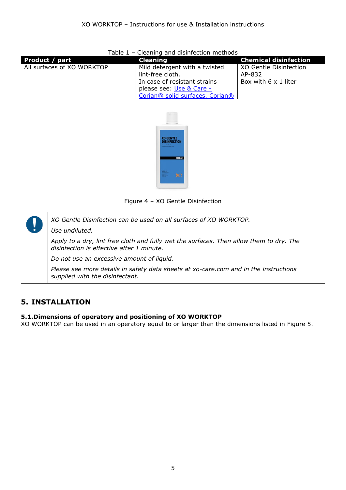| <b>Product / part</b>      | <b>Cleaning</b>                                                                                                                                  | <b>Chemical disinfection</b>                             |
|----------------------------|--------------------------------------------------------------------------------------------------------------------------------------------------|----------------------------------------------------------|
| All surfaces of XO WORKTOP | Mild detergent with a twisted<br>lint-free cloth.<br>In case of resistant strains<br>please see: Use & Care -<br>Corian® solid surfaces, Corian® | XO Gentle Disinfection<br>AP-832<br>Box with 6 x 1 liter |

#### Table 1 – Cleaning and disinfection methods



Figure 4 – XO Gentle Disinfection

*XO Gentle Disinfection can be used on all surfaces of XO WORKTOP. Use undiluted. Apply to a dry, lint free cloth and fully wet the surfaces. Then allow them to dry. The disinfection is effective after 1 minute. Do not use an excessive amount of liquid. Please see more details in safety data sheets at xo-care.com and in the instructions supplied with the disinfectant.*

## <span id="page-4-0"></span>**5. INSTALLATION**

#### **5.1.Dimensions of operatory and positioning of XO WORKTOP**

XO WORKTOP can be used in an operatory equal to or larger than the dimensions listed in [Figure 5.](#page-5-0)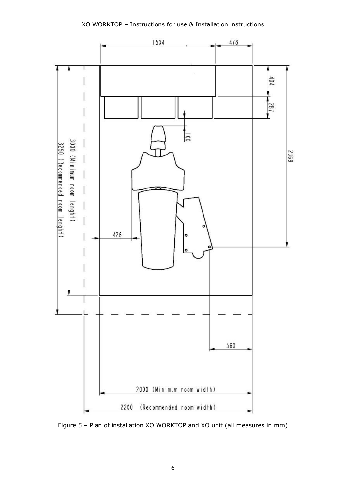

<span id="page-5-0"></span>Figure 5 – Plan of installation XO WORKTOP and XO unit (all measures in mm)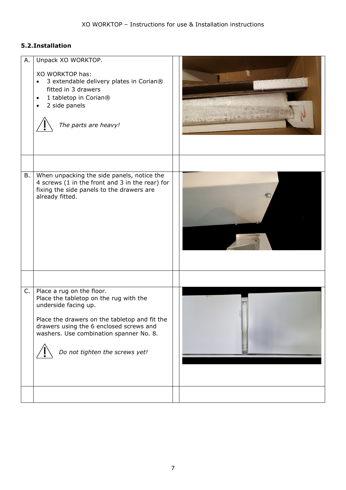#### **5.2.Installation**

<span id="page-6-0"></span>

| А. | Unpack XO WORKTOP.<br>XO WORKTOP has:<br>3 extendable delivery plates in Corian®<br>fitted in 3 drawers<br>1 tabletop in Corian®<br>$\bullet$<br>2 side panels<br>The parts are heavy!                                                                               |  |
|----|----------------------------------------------------------------------------------------------------------------------------------------------------------------------------------------------------------------------------------------------------------------------|--|
| В. | When unpacking the side panels, notice the<br>4 screws (1 in the front and 3 in the rear) for<br>fixing the side panels to the drawers are<br>already fitted.                                                                                                        |  |
| C. | Place a rug on the floor.<br>Place the tabletop on the rug with the<br>underside facing up.<br>Place the drawers on the tabletop and fit the<br>drawers using the 6 enclosed screws and<br>washers. Use combination spanner No. 8.<br>Do not tighten the screws yet! |  |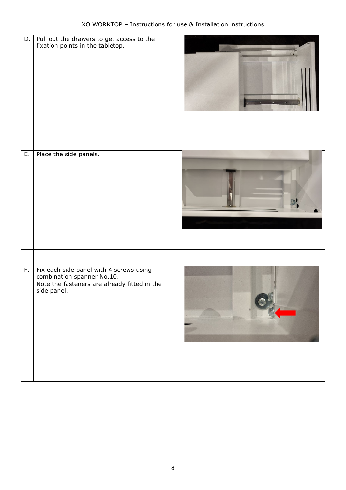|    | D. $\vert$ Pull out the drawers to get access to the<br>fixation points in the tabletop.                                             |  |
|----|--------------------------------------------------------------------------------------------------------------------------------------|--|
|    |                                                                                                                                      |  |
| E. | Place the side panels.                                                                                                               |  |
|    |                                                                                                                                      |  |
| F. | Fix each side panel with 4 screws using<br>combination spanner No.10.<br>Note the fasteners are already fitted in the<br>side panel. |  |
|    |                                                                                                                                      |  |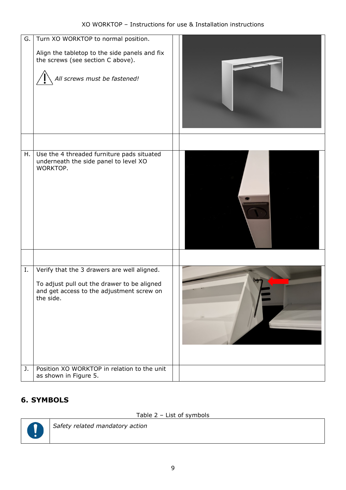| G. | Turn XO WORKTOP to normal position.<br>Align the tabletop to the side panels and fix<br>the screws (see section C above).<br>All screws must be fastened! |  |
|----|-----------------------------------------------------------------------------------------------------------------------------------------------------------|--|
| Н. | Use the 4 threaded furniture pads situated<br>underneath the side panel to level XO<br>WORKTOP.                                                           |  |
| Ι. | Verify that the 3 drawers are well aligned.<br>To adjust pull out the drawer to be aligned<br>and get access to the adjustment screw on<br>the side.      |  |
| J. | Position XO WORKTOP in relation to the unit<br>as shown in Figure 5.                                                                                      |  |

## <span id="page-8-0"></span>**6. SYMBOLS**

### Table 2 – List of symbols



*Safety related mandatory action*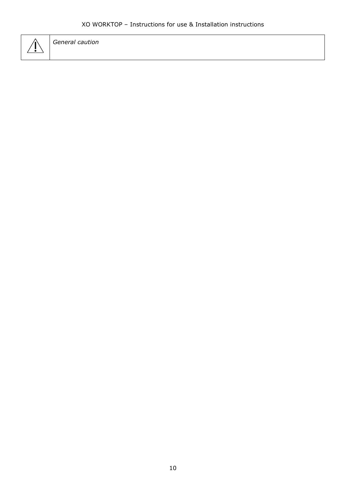### XO WORKTOP – Instructions for use & Installation instructions



*General caution*